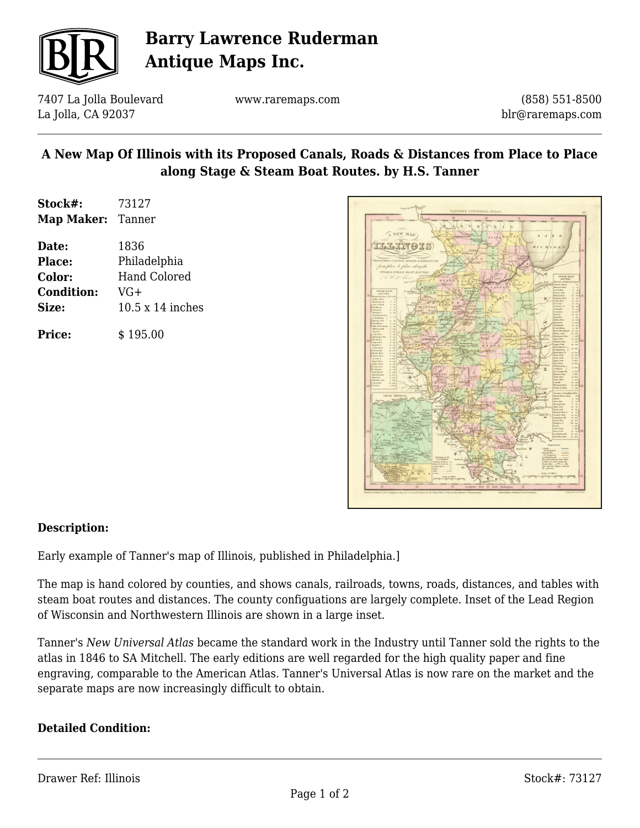

# **Barry Lawrence Ruderman Antique Maps Inc.**

7407 La Jolla Boulevard La Jolla, CA 92037

www.raremaps.com

(858) 551-8500 blr@raremaps.com

## **A New Map Of Illinois with its Proposed Canals, Roads & Distances from Place to Place along Stage & Steam Boat Routes. by H.S. Tanner**

| Stock#:    | 73127  |
|------------|--------|
| Map Maker: | Tanner |

**Date:** 1836 **Place:** Philadelphia **Color:** Hand Colored **Condition:** VG+ **Size:** 10.5 x 14 inches

**Price:**  $\qquad$  \$ 195.00



### **Description:**

Early example of Tanner's map of Illinois, published in Philadelphia.]

The map is hand colored by counties, and shows canals, railroads, towns, roads, distances, and tables with steam boat routes and distances. The county configuations are largely complete. Inset of the Lead Region of Wisconsin and Northwestern Illinois are shown in a large inset.

Tanner's *New Universal Atlas* became the standard work in the Industry until Tanner sold the rights to the atlas in 1846 to SA Mitchell. The early editions are well regarded for the high quality paper and fine engraving, comparable to the American Atlas. Tanner's Universal Atlas is now rare on the market and the separate maps are now increasingly difficult to obtain.

#### **Detailed Condition:**